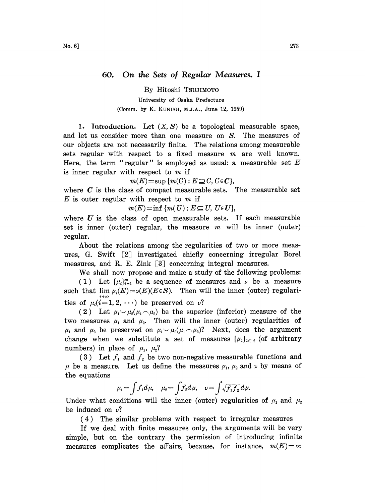## 60. On the Sets of Regular Measures. <sup>I</sup>

By Hitoshi TSUJIMOTO

University of Osaka Prefecture (Comm. by K. KUNUGI, M.J.A., June 12, 1959)

1. Introduction. Let  $(X, S)$  be a topological measurable space, and let us consider more than one measure on S. The measures of our objects are not necessarily finite. The relations among measurable sets regular with respect to a fixed measure  $m$  are well known. Here, the term "regular" is employed as usual: a measurable set  $E$ is inner regular with respect to  $m$  if

 $m(E)=\sup \{m(C): E\supseteq C, C\in \mathbb{C}\},$ 

where  $C$  is the class of compact measurable sets. The measurable set  $E$  is outer regular with respect to  $m$  if

 $m(E)=\inf \{m(U): E \subseteq U, U \in U\},\$ 

where  $U$  is the class of open measurable sets. If each measurable set is inner (outer) regular, the measure  $m$  will be inner (outer) regular.

About the relations among the regularities of two or more measures, G. Swift [2] investigated chiefly concerning irregular Borel measures, and R. E. Zink  $\lceil 3 \rceil$  concerning integral measures.

We shall now propose and make a study of the following problems:

(1) Let  $\{\mu_i\}_{i=1}^{\infty}$  be a sequence of measures and  $\nu$  be a measure such that  $\lim_{i\to\infty}\mu_i(E)=\nu(E)(E\in S)$ . Then will the inner (outer) regularities of  $\mu_i(i=1, 2, \cdots)$  be preserved on  $\nu$ ?

(2) Let  $\mu_1 \sim \mu_2(\mu_1 \sim \mu_2)$  be the superior (inferior) measure of the two measures  $\mu_1$  and  $\mu_2$ . Then will the inner (outer) regularities of  $\mu_1$  and  $\mu_2$  be preserved on  $\mu_1 \sim \mu_2(\mu_1 \sim \mu_2)$ ? Next, does the argument change when we substitute a set of measures  $\{\mu_{\lambda}\}_{\lambda \in \Lambda}$  (of arbitrary numbers) in place of  $\mu_1$ ,  $\mu_2$ ?

(3) Let  $f_1$  and  $f_2$  be two non-negative measurable functions and  $\mu$  be a measure. Let us define the measures  $\mu_1$ ,  $\mu_2$  and  $\nu$  by means of the equations

$$
\mu_1 = \int f_1 d\mu, \quad \mu_2 = \int f_2 d\mu, \quad \nu = \int \sqrt{f_1 f_2} d\mu.
$$

Under what conditions will the inner (outer) regularities of  $\mu_1$  and  $\mu_2$ be induced on  $\nu$ ?

(4) The similar problems with respect to irregular measures

If we deal with finite measures only, the arguments will be very simple, but on the contrary the permission of introducing infinite measures complicates the affairs, because, for instance,  $m(E) = \infty$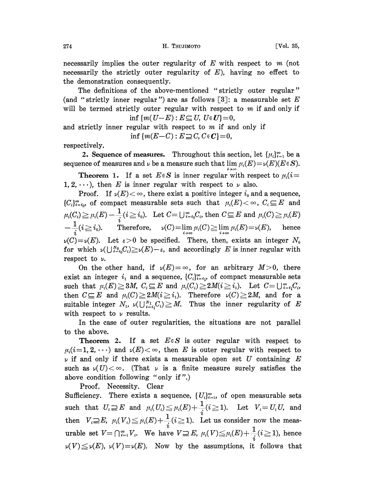necessarily implies the outer regularity of  $E$  with respect to  $m$  (not necessarily the strictly outer regularity of  $E$ ), having no effect to the demonstration consequently.

The definitions of the above-mentioned "strictly outer regular" (and "strictly inner regular") are as follows  $[3]$ : a measurable set E will be termed strictly outer regular with respect to  $m$  if and only if inf  $\{m(U-E): E \subseteq U, U \in U\} = 0$ ,

and strictly inner regular with respect to  $m$  if and only if inf  ${m(E-C): E\supseteq C, C\in\mathbb{C}}=0,$ 

respectively.

2. Sequence of measures. Throughout this section, let  $\{\mu_i\}_{i=1}^{\infty}$  be a sequence of measures and  $\nu$  be a measure such that  $\lim\limits_{i\to\infty}\mu_i(E)\!=\!\nu(E)(E\!\in\! S).$ 

**Theorem 1.** If a set  $E \in S$  is inner regular with respect to  $\mu_i(i=$ 1, 2,  $\cdots$ ), then E is inner regular with respect to  $\nu$  also.

Proof. If  $\nu(E) < \infty$ , there exist a positive integer  $i_0$  and a sequence,  ${C_i}_{i=i_0}^{\infty}$  of compact measurable sets such that  $\mu_i(E) < \infty$ ,  $C_i \subseteq E$  and  $\mu_i(C_i) \geq \mu_i(E) -\frac{1}{i} (i \geq i_0). \;\; \text{Let } C = \bigcup_{i=i_0}^{\infty} C_i, \text{ then } C \subseteq E \;\text{and} \;\; \mu_i(C) \geq \mu_i(E)$  $-\div(i \geq i_0)$ . Therefore,  $\nu(C)=\lim \mu_i(C) \geq \lim \mu_i(E)=\nu(E)$ , hence  $\nu(C) = \nu(E)$ . Let  $\varepsilon > 0$  be specified. There, then, exists an integer  $N_0$ for which  $\nu(\bigcup_{i=i_0}^{N_0}C_i)\geq \nu(E)-\varepsilon$ , and accordingly E is inner regular with respect to  $\nu$ .

On the other hand, if  $\nu(E)=\infty$ , for an arbitrary  $M>0$ , there exist an integer  $i_1$  and a sequence,  $\{C_i\}_{i=i_1}^{\infty}$ , of compact measurable sets such that  $\mu_i(E) \geq 3M$ ,  $C_i \subseteq E$  and  $\mu_i(C_i) \geq 2M(i \geq i_1)$ . Let  $C = \bigcup_{i=i_1}^{\infty}C_i$ , then  $C \subseteq E$  and  $\mu_i(C) \geq 2M(i \geq i_1)$ . Therefore  $\nu(C) \geq 2M$ , and for a suitable integer  $N_1$ ,  $\nu(\bigcup_{i=i_1}^{N_1} C_i) \geq M$ . Thus the inner regularity of E with respect to  $\nu$  results.

In the case of outer regularities, the situations are not parallel to the above.

**Theorem 2.** If a set  $E \in S$  is outer regular with respect to  $\mu_i(i=1, 2, \dots)$  and  $\nu(E) < \infty$ , then E is outer regular with respect to  $\nu$  if and only if there exists a measurable open set U containing E such as  $\nu(U) < \infty$ . (That  $\nu$  is a finite measure surely satisfies the above condition following "only if ".)

Proof. Necessity. Clear

Sufficiency. There exists a sequence,  $\{U_i\}_{i=1}^{\infty}$ , of open measurable sets such that  $U_i \supseteq E$  and  $\mu_i(U_i) \leq \mu_i(E) + \frac{1}{i} (i \geq 1)$ . Let  $V_i = U_i U$ , and then  $V_i \square E$ ,  $\mu_i(V_i) \leq \mu_i(E)+\frac{1}{\mu_i}(i)$  $_i$ ( $\overline{L}$ 1). Let us consider now the measurable set  $V = \bigcap_{i=1}^{\infty} V_i$ . We have  $V \supseteq E$ ,  $\mu_i(V) \leqq \mu_i(E) + \frac{1}{\cdot} (i \geqq 1)$ , hence  $\nu(V) \leq \nu(E)$ ,  $\nu(V) = \nu(E)$ . Now by the assumptions, it follows that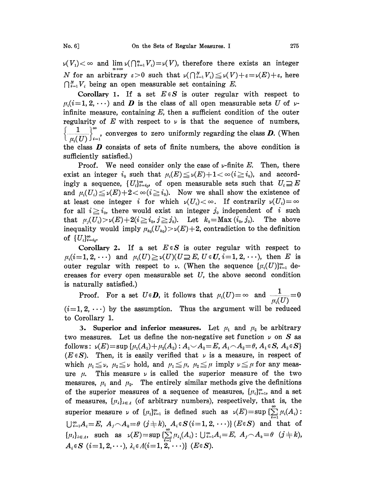$\nu(V_1) < \infty$  and  $\lim_{\nu \to \infty} \nu(\bigcap_{i=1}^n V_i) = \nu(V)$ , therefore there exists an integer N for an arbitrary  $\varepsilon > 0$  such that  $\nu(\bigcap_{i=1}^N V_i) \leq \nu(V)+\varepsilon=\nu(E)+\varepsilon$ , here  $\bigcap_{i=1}^N V_i$  being an open measurable set containing E.

Corollary 1. If a set  $E \in S$  is outer regular with respect to  $\mu_i(i=1, 2, \dots)$  and **D** is the class of all open measurable sets U of  $\nu$ infinite measure, containing  $E$ , then a sufficient condition of the outer regularity of E with respect to  $\nu$  is that the sequence of numbers,  $\left\{\frac{1}{\mu_i(U)}\right\}_{i=1}^{\infty}$ , converges to zero uniformly regarding the class **D**. (When the class  $\boldsymbol{D}$  consists of sets of finite numbers, the above condition is sufficiently satisfied.)

Proof. We need consider only the case of  $\nu$ -finite E. Then, there exist an integer  $i_0$  such that  $\mu_i(E) \le \nu(E) + 1 < \infty$  ( $i \ge i_0$ ), and accordingly a sequence,  $\{U_i\}_{i=i_0}^{\infty}$ , of open measurable sets such that  $U_i \supseteq E$ and  $\mu_i(U_i) \leq \nu(E) + 2 < \infty$  ( $i \geq i_0$ ). Now we shall show the existence of at least one integer i for which  $\nu(U_i) < \infty$ . If contrarily  $\nu(U_i) = \infty$ for all  $i \geq i_0$ , there would exist an integer  $j_0$  independent of i such that  $\mu_j(U_i) > \nu(E) + 2(i \geq i_0, j \geq j_0)$ . Let  $k_0 = \text{Max}(i_0, j_0)$ . The above inequality would imply  $\mu_{k_0}(U_{k_0}) > \nu(E) + 2$ , contradiction to the definition of  $\{U_i\}_{i=i_0}^{\infty}$ 

Corollary 2. If a set  $E \in S$  is outer regular with respect to  $\mu_i(i=1, 2, \cdots)$  and  $\mu_i(U) \ge \nu(U)(U \supseteq E, U \in U, i=1, 2, \cdots)$ , then E is outer regular with respect to  $\nu$ . (When the sequence  $\{\mu_i(U)\}_{i=1}^{\infty}$  decreases for every open measurable set  $U$ , the above second condition is naturally satisfied.)

Proof. For a set  $U \in \mathbf{D}$ , it follows that  $\mu_i(U) = \infty$  and  $\frac{1}{\mu_i(U)} = 0$  $(i=1, 2, \dots)$  by the assumption. Thus the argument will be reduced to Corollary 1.

3. Superior and inferior measures. Let  $\mu_1$  and  $\mu_2$  be arbitrary two measures. Let us define the non-negative set function  $\nu$  on S as follows:  $\nu(E) = \sup \{ \mu_1(A_1) + \mu_2(A_2) : A_1 \cup A_2 = E, A_1 \cap A_2 = \theta, A_1 \in S, A_2 \in S \}$  $(E \in S)$ . Then, it is easily verified that  $\nu$  is a measure, in respect of which  $\mu_1 \leq \nu$ ,  $\mu_2 \leq \nu$  hold, and  $\mu_1 \leq \mu$ ,  $\mu_2 \leq \mu$  imply  $\nu \leq \mu$  for any measure  $\mu$ . This measure  $\nu$  is called the superior measure of the two measures,  $\mu_1$  and  $\mu_2$ . The entirely similar methods give the definitions of the superior measures of a sequence of measures,  $\{\mu_i\}_{i=1}^{\infty}$ , and a set of measures,  $\{\mu_{\lambda}\}_{{\lambda}\in{\Lambda}}$  (of arbitrary numbers), respectively, that is, the superior measure  $\nu$  of  $\{\mu_i\}_{i=1}^{\infty}$  is defined such as  $\nu(E)=\sup\{\sum_{i=1}^{\infty}\mu_i(A_i):$  $\bigcup_{i=1}^{\infty} A_i = E, A_j \cap A_k = \theta \ (j \neq k), A_i \in S \ (i = 1, 2, \cdots) \}$  ( $E \in S$ ) and that of  $\{\mu_{\lambda}\}_{\lambda \in \Lambda}$ , such as  $\nu(E) = \sup \{ \sum_{i=1}^{\infty} \mu_{\lambda_i}(A_i) : \bigcup_{i=1}^{\infty} A_i = E, \ A_j \cap A_k = \theta \ \ (j \neq k),\}$  $A_i \in S$   $(i=1,2,\cdots), \lambda_i \in A(i=1,\overline{2,\cdots})$   $(E \in S)$ .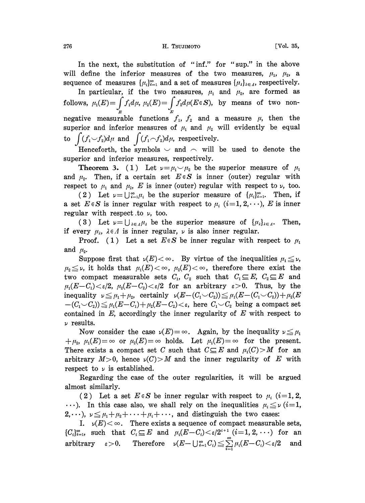In the next, the substitution of "inf." for "sup." in the above will define the inferior measures of the two measures,  $\mu_1$ ,  $\mu_2$ , a sequence of measures  $\{\mu_i\}_{i=1}^{\infty}$  and a set of measures  $\{\mu_i\}_{i \in \Lambda}$ , respectively.

In particular, if the two measures,  $\mu_1$  and  $\mu_2$ , are formed as follows,  $\mu_1(E)=\int f_1 d\mu$ ,  $\mu_2(E)=\int f_2 d\mu(E\in S)$ , by means of two nonnegative measurable functions  $f_1, f_2$  and a measure  $\mu$ , then the superior and inferior measures of  $\mu_1$  and  $\mu_2$  will evidently be equal to  $\int (f_1 \smile f_2)d\mu$  and  $\int (f_1 \smile f_2)d\mu$ , respectively.

Henceforth, the symbols  $\sim$  and  $\sim$  will be used to denote the superior and inferior measures, respectively.

**Theorem 3.** (1) Let  $\nu = \mu_1 \smile \mu_2$  be the superior measure of  $\mu_1$ and  $\mu_2$ . Then, if a certain set  $E \in S$  is inner (outer) regular with respect to  $\mu_1$  and  $\mu_2$ , E is inner (outer) regular with respect to  $\nu$ , too.

(2) Let  $\nu=\bigcup_{i=1}^{\infty}\mu_i$  be the superior measure of  $\{\mu_i\}_{i=1}^{\infty}$ . Then, if a set  $E \in S$  is inner regular with respect to  $\mu_i$   $(i=1, 2, \dots), E$  is inner regular with respect to  $\nu$ , too.

(3) Let  $\nu = \bigcup_{\lambda \in \Lambda} \mu_{\lambda}$  be the superior measure of  $\{\mu_{\lambda}\}_{{\lambda \in \Lambda}}$ . Then, if every  $\mu_{\lambda}$ ,  $\lambda \in \Lambda$  is inner regular,  $\nu$  is also inner regular.

Proof. (1) Let a set  $E \in S$  be inner regular with respect to  $\mu_1$ and  $\mu_{2}$ .

Suppose first that  $\nu(E) < \infty$ . By virtue of the inequalities  $\mu_1 \leq \nu$ ,  $\mu_2 \leq \nu$ , it holds that  $\mu_1(E) < \infty$ ,  $\mu_2(E) < \infty$ , therefore there exist the two compact measurable sets  $C_1$ ,  $C_2$  such that  $C_1 \subseteq E$ ,  $C_2 \subseteq E$  and  $\mu_1(E-C_1)<\varepsilon/2$ ,  $\mu_2(E-C_2)<\varepsilon/2$  for an arbitrary  $\varepsilon>0$ . Thus, by the<br>inequality  $\nu \leq \mu_1+\mu_2$ , certainly  $\nu(E-(C_1\vee C_2)) \leq \mu_1(E-(C_1\vee C_2))+\mu_2(E$  $-(C_1 \cup C_2) \leq \mu_1(E-C_1)+\mu_2(E-C_2) < \varepsilon$ , here  $C_1 \cup C_2$  being a compact set contained in  $E$ , accordingly the inner regularity of  $E$  with respect to  $\nu$  results.

Now consider the case  $\nu(E)=\infty$ . Again, by the inequality  $\nu \leq \mu_1$  $+\mu_2$ ,  $\mu_1(E) = \infty$  or  $\mu_2(E) = \infty$  holds. Let  $\mu_1(E) = \infty$  for the present. There exists a compact set C such that  $C \subseteq E$  and  $\mu_1(C) > M$  for an arbitrary  $M>0$ , hence  $\nu(C) > M$  and the inner regularity of E with respect to  $\nu$  is established.

Regarding the case of the outer regularities, it will be argued almost similarly.

(2) Let a set  $E \in S$  be inner regular with respect to  $\mu_i$  (i=1, 2, (2) Let a set  $L \in S$  be inner regular with respect to  $\mu_i$  ( $i=1, 2, \ldots$ ). In this case also, we shall rely on the inequalities  $\mu_i \leq \nu$  ( $i=1, 2, \ldots$ ),  $\nu \leq \mu_1 + \mu_2 + \cdots + \mu_i + \cdots$ , and distinguish the two cases:

I.  $\nu(E) < \infty$ . There exists a sequence of compact measurable sets, 1.  $\nu(E) < \infty$ . There exists a sequence of compact measurable sets,<br>{C<sub>i</sub>}<sup> $\infty$ </sup>, such that  $C_i \subseteq E$  and  $\mu_i(E - C_i) < \varepsilon/2^{i+1}$  (i=1, 2, ...) for an  $\begin{array}{lll} \text{arbitrary} & \varepsilon \!>\! 0. & \text{Therefore} & \nu (E \!-\! \bigcup_{i=1}^{\infty} C_i) \!\leq\! \sum\limits_{i=1}^{\infty} \mu_i (E \!-\! C_i) \!<\! \varepsilon/2 & \text{and} \end{array}$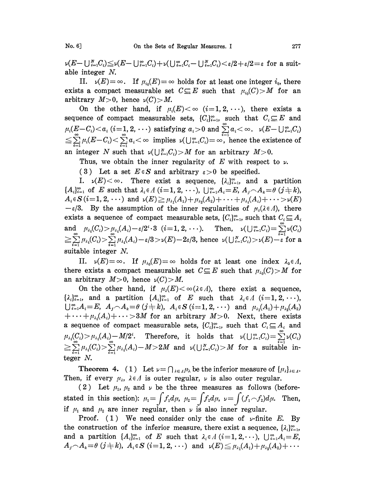$\nu(E-\bigcup_{i=1}^N C_i)\leq \nu(E-\bigcup_{i=1}^{\infty} C_i)+\nu(\bigcup_{i=1}^{\infty} C_i-\bigcup_{i=1}^N C_i)<\varepsilon/2+\varepsilon/2=\varepsilon$  for a suitable integer N.

II.  $\nu(E) = \infty$ . If  $\mu_{i0}(E) = \infty$  holds for at least one integer  $i_0$ , there exists a compact measurable set  $C \subseteq E$  such that  $\mu_{i_0}(C) > M$  for an arbitrary  $M>0$ , hence  $\nu(C) > M$ .

On the other hand, if  $\mu_i(E) < \infty$  (i=1,2, ...), there exists a sequence of compact measurable sets,  $\{C_i\}_{i=1}^{\infty}$ , such that  $C_i \subseteq E$  and  $\mu_i(\underbar{E}-C_i) < a_i$  (i=1, 2, ...) satisfying  $a_i > 0$  and  $\sum_{i=1}^{\infty} a_i < \infty$ .  $\nu(E-\bigcup_{i=1}^{\infty}C_i)$  $\sum_{i=1}^{\infty} \mu_i (E - C_i) < \sum_{i=1}^{\infty} a_i < \infty$  implies  $\nu(\bigcup_{i=1}^{\infty} C_i) = \infty$ , hence the existence of an integer N such that  $\nu(\bigcup_{i=1}^N C_i) > M$  for an arbitrary  $M > 0$ .

Thus, we obtain the inner regularity of E with respect to  $\nu$ .

(3) Let a set  $E \in S$  and arbitrary  $\varepsilon > 0$  be specified.

I.  $\nu(E) < \infty$ . There exist a sequence,  $\{\lambda_i\}_{i=1}^{\infty}$  and a partition  ${A_i}_{i=1}^{\infty}$  of E such that  $\lambda_i \in A$  (i=1, 2,  $\cdots$ ),  $\bigcup_{i=1}^{\infty} A_i=E$ ,  $A_i \cap A_k=\theta$  (j  $\neq k$ ),  $A_i \in S$   $(i=1, 2, \dots)$  and  $\nu(E) \ge \mu_{\lambda_1}(A_1) + \mu_{\lambda_2}(A_2) + \dots + \mu_{\lambda_i}(A_i) + \dots > \nu(E)$  $-\varepsilon/3$ . By the assumption of the inner regularities of  $\mu_{\lambda}(\lambda \in \Lambda)$ , there exists a sequence of compact measurable sets,  $\{C_i\}_{i=1}^{\infty}$ , such that  $C_i \subseteq A_i$  $\text{and}\quad \mu_{\lambda_i}(C_i)\!>\!\mu_{\lambda_i}(A_i)\!-\!\varepsilon/2^i\!\cdot\! 3\;\;(i\!=\! 1,2,\,\cdots). \quad \text{ Then,}\quad \nu(\bigcup_{i=1}^\infty\!C_i)\!=\!\sum\limits_{i=1}^\infty\nu(C_i)$  $\mu_{\lambda_i}(C_i) > \sum_{i=1}^{\infty} \mu_{\lambda_i}(A_i) - \varepsilon/3 > \nu(E) - 2\varepsilon/3$ , hence  $\nu(\bigcup_{i=1}^N C_i) > \nu(E) - \varepsilon$  for a suitable integer N.

II.  $\nu(E) = \infty$ . If  $\mu_{\lambda_0}(E) = \infty$  holds for at least one index  $\lambda_0 \in \Lambda$ , there exists a compact measurable set  $C \subseteq E$  such that  $\mu_{\lambda_0}(C) > M$  for an arbitrary  $M>0$ , hence  $\nu(C) > M$ .

On the other hand, if  $\mu_{\lambda}(E) < \infty$  ( $\lambda \in \Lambda$ ), there exist a sequence,  $\{\lambda_i\}_{i=1}^{\infty}$ , and a partition  $\{A_i\}_{i=1}^{\infty}$  of E such that  $\lambda_i \in A$  (i=1, 2,  $\cdots$ ),  $\bigcup_{i=1}^{\infty} A_i = E$ ,  $A_j \cap A_k = \theta$   $(j \neq k)$ ,  $A_i \in S$   $(i = 1, 2, \cdots)$  and  $\mu_{\lambda_1}(A_1) + \mu_{\lambda_2}(A_2)$  $+\cdots + \mu_{\lambda_i}(A_i) + \cdots >3M$  for an arbitrary  $M>0$ . Next, there exists a sequence of compact measurable sets,  $\{C_i\}_{i=1}^{\infty}$ , such that  $C_i \subseteq A_i$  and  $\mu_{\lambda_i}(C_i)>\mu_{\lambda_i}(A_i)-M/2^i.$  Therefore, it holds that  $\nu(\bigcup_{i=1}^\infty C_i)=\sum_{i=1}^\infty \nu(C_i)$  $\mu_{\lambda_i}(C_i) > \sum\limits_{i=1}^\infty \mu_{\lambda_i}(A_i)-M>2M \text{ \ \ and \ \ }\nu(\bigcup_{i=1}^N C_i)>M \text{\ \ for \ \ a \ \ suitable \ in-1}$ teger N.

**Theorem 4.** (1) Let  $y = \bigcap_{\lambda \in \Lambda} \mu_{\lambda}$  be the inferior measure of  $\{\mu_{\lambda}\}_{\lambda \in \Lambda}$ . Then, if every  $\mu_{\lambda}$ ,  $\lambda \in \Lambda$  is outer regular,  $\nu$  is also outer regular.

(2) Let  $\mu_1$ ,  $\mu_2$  and  $\nu$  be the three measures as follows (beforestated in this section):  $\mu_1 = \int f_1 d\mu$ ,  $\mu_2 = \int f_2 d\mu$ ,  $\nu = \int (f_1 \f_2) d\mu$ . Then, if  $\mu_1$  and  $\mu_2$  are inner regular, then  $\nu$  is also inner regular.

Proof. (1) We need consider only the case of  $\nu$ -finite E. By the construction of the inferior measure, there exist a sequence,  $\{\lambda_i\}_{i=1}^{\infty}$ and a partition  $\{A_i\}_{i=1}^{\infty}$  of E such that  $\lambda_i \in A$  (i=1, 2,...),  $\bigcup_{i=1}^{\infty} A_i = E$ ,  $A_j \cap A_k = \theta \ (j \neq k), \ A_i \in S \ (i=1,2,\cdots) \ \text{ and } \ \nu(E) \leqq \mu_{\lambda_1}(A_1)+\mu_{\lambda_2}(A_2)+\cdots$